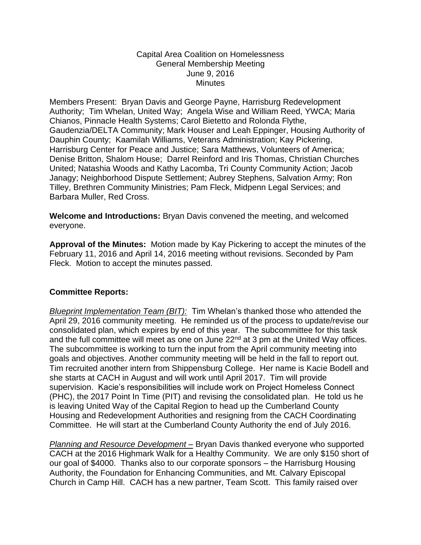## Capital Area Coalition on Homelessness General Membership Meeting June 9, 2016 **Minutes**

Members Present: Bryan Davis and George Payne, Harrisburg Redevelopment Authority; Tim Whelan, United Way; Angela Wise and William Reed, YWCA; Maria Chianos, Pinnacle Health Systems; Carol Bietetto and Rolonda Flythe, Gaudenzia/DELTA Community; Mark Houser and Leah Eppinger, Housing Authority of Dauphin County; Kaamilah Williams, Veterans Administration; Kay Pickering, Harrisburg Center for Peace and Justice; Sara Matthews, Volunteers of America; Denise Britton, Shalom House; Darrel Reinford and Iris Thomas, Christian Churches United; Natashia Woods and Kathy Lacomba, Tri County Community Action; Jacob Janagy; Neighborhood Dispute Settlement; Aubrey Stephens, Salvation Army; Ron Tilley, Brethren Community Ministries; Pam Fleck, Midpenn Legal Services; and Barbara Muller, Red Cross.

**Welcome and Introductions:** Bryan Davis convened the meeting, and welcomed everyone.

**Approval of the Minutes:** Motion made by Kay Pickering to accept the minutes of the February 11, 2016 and April 14, 2016 meeting without revisions. Seconded by Pam Fleck. Motion to accept the minutes passed.

## **Committee Reports:**

*Blueprint Implementation Team (BIT):* Tim Whelan's thanked those who attended the April 29, 2016 community meeting. He reminded us of the process to update/revise our consolidated plan, which expires by end of this year. The subcommittee for this task and the full committee will meet as one on June 22<sup>nd</sup> at 3 pm at the United Way offices. The subcommittee is working to turn the input from the April community meeting into goals and objectives. Another community meeting will be held in the fall to report out. Tim recruited another intern from Shippensburg College. Her name is Kacie Bodell and she starts at CACH in August and will work until April 2017. Tim will provide supervision. Kacie's responsibilities will include work on Project Homeless Connect (PHC), the 2017 Point In Time (PIT) and revising the consolidated plan. He told us he is leaving United Way of the Capital Region to head up the Cumberland County Housing and Redevelopment Authorities and resigning from the CACH Coordinating Committee. He will start at the Cumberland County Authority the end of July 2016.

*Planning and Resource Development –* Bryan Davis thanked everyone who supported CACH at the 2016 Highmark Walk for a Healthy Community. We are only \$150 short of our goal of \$4000. Thanks also to our corporate sponsors – the Harrisburg Housing Authority, the Foundation for Enhancing Communities, and Mt. Calvary Episcopal Church in Camp Hill. CACH has a new partner, Team Scott. This family raised over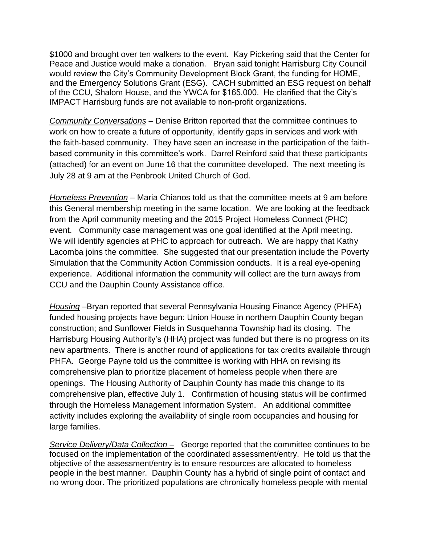\$1000 and brought over ten walkers to the event. Kay Pickering said that the Center for Peace and Justice would make a donation. Bryan said tonight Harrisburg City Council would review the City's Community Development Block Grant, the funding for HOME, and the Emergency Solutions Grant (ESG). CACH submitted an ESG request on behalf of the CCU, Shalom House, and the YWCA for \$165,000. He clarified that the City's IMPACT Harrisburg funds are not available to non-profit organizations.

*Community Conversations* – Denise Britton reported that the committee continues to work on how to create a future of opportunity, identify gaps in services and work with the faith-based community. They have seen an increase in the participation of the faithbased community in this committee's work. Darrel Reinford said that these participants (attached) for an event on June 16 that the committee developed. The next meeting is July 28 at 9 am at the Penbrook United Church of God.

*Homeless Prevention* – Maria Chianos told us that the committee meets at 9 am before this General membership meeting in the same location. We are looking at the feedback from the April community meeting and the 2015 Project Homeless Connect (PHC) event. Community case management was one goal identified at the April meeting. We will identify agencies at PHC to approach for outreach. We are happy that Kathy Lacomba joins the committee. She suggested that our presentation include the Poverty Simulation that the Community Action Commission conducts. It is a real eye-opening experience. Additional information the community will collect are the turn aways from CCU and the Dauphin County Assistance office.

*Housing* –Bryan reported that several Pennsylvania Housing Finance Agency (PHFA) funded housing projects have begun: Union House in northern Dauphin County began construction; and Sunflower Fields in Susquehanna Township had its closing. The Harrisburg Housing Authority's (HHA) project was funded but there is no progress on its new apartments. There is another round of applications for tax credits available through PHFA. George Payne told us the committee is working with HHA on revising its comprehensive plan to prioritize placement of homeless people when there are openings. The Housing Authority of Dauphin County has made this change to its comprehensive plan, effective July 1. Confirmation of housing status will be confirmed through the Homeless Management Information System. An additional committee activity includes exploring the availability of single room occupancies and housing for large families.

*Service Delivery/Data Collection –* George reported that the committee continues to be focused on the implementation of the coordinated assessment/entry. He told us that the objective of the assessment/entry is to ensure resources are allocated to homeless people in the best manner. Dauphin County has a hybrid of single point of contact and no wrong door. The prioritized populations are chronically homeless people with mental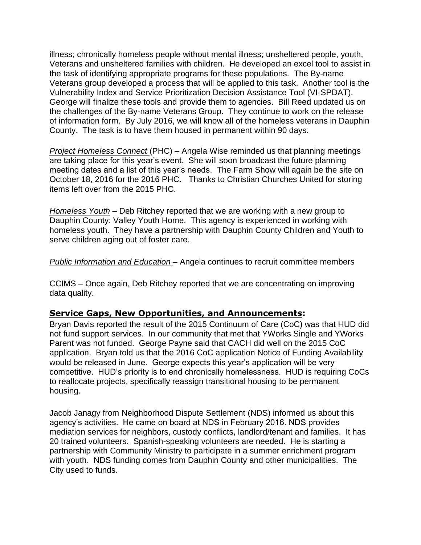illness; chronically homeless people without mental illness; unsheltered people, youth, Veterans and unsheltered families with children. He developed an excel tool to assist in the task of identifying appropriate programs for these populations. The By-name Veterans group developed a process that will be applied to this task. Another tool is the Vulnerability Index and Service Prioritization Decision Assistance Tool (VI-SPDAT). George will finalize these tools and provide them to agencies. Bill Reed updated us on the challenges of the By-name Veterans Group. They continue to work on the release of information form. By July 2016, we will know all of the homeless veterans in Dauphin County. The task is to have them housed in permanent within 90 days.

*Project Homeless Connect* (PHC) – Angela Wise reminded us that planning meetings are taking place for this year's event. She will soon broadcast the future planning meeting dates and a list of this year's needs. The Farm Show will again be the site on October 18, 2016 for the 2016 PHC. Thanks to Christian Churches United for storing items left over from the 2015 PHC.

*Homeless Youth* – Deb Ritchey reported that we are working with a new group to Dauphin County: Valley Youth Home. This agency is experienced in working with homeless youth. They have a partnership with Dauphin County Children and Youth to serve children aging out of foster care.

*Public Information and Education* – Angela continues to recruit committee members

CCIMS – Once again, Deb Ritchey reported that we are concentrating on improving data quality.

## **Service Gaps, New Opportunities, and Announcements:**

Bryan Davis reported the result of the 2015 Continuum of Care (CoC) was that HUD did not fund support services. In our community that met that YWorks Single and YWorks Parent was not funded. George Payne said that CACH did well on the 2015 CoC application. Bryan told us that the 2016 CoC application Notice of Funding Availability would be released in June. George expects this year's application will be very competitive. HUD's priority is to end chronically homelessness. HUD is requiring CoCs to reallocate projects, specifically reassign transitional housing to be permanent housing.

Jacob Janagy from Neighborhood Dispute Settlement (NDS) informed us about this agency's activities. He came on board at NDS in February 2016. NDS provides mediation services for neighbors, custody conflicts, landlord/tenant and families. It has 20 trained volunteers. Spanish-speaking volunteers are needed. He is starting a partnership with Community Ministry to participate in a summer enrichment program with youth. NDS funding comes from Dauphin County and other municipalities. The City used to funds.